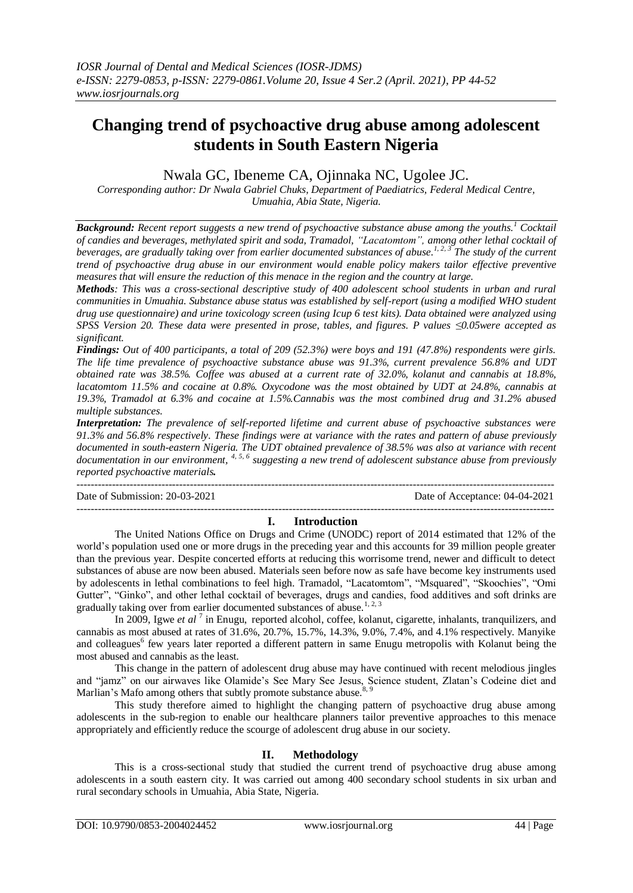# **Changing trend of psychoactive drug abuse among adolescent students in South Eastern Nigeria**

Nwala GC, Ibeneme CA, Ojinnaka NC, Ugolee JC.

*Corresponding author: Dr Nwala Gabriel Chuks, Department of Paediatrics, Federal Medical Centre, Umuahia, Abia State, Nigeria.* 

*Background: Recent report suggests a new trend of psychoactive substance abuse among the youths.<sup>1</sup> Cocktail of candies and beverages, methylated spirit and soda, Tramadol, "Lacatomtom", among other lethal cocktail of beverages, are gradually taking over from earlier documented substances of abuse. 1, 2, 3 The study of the current trend of psychoactive drug abuse in our environment would enable policy makers tailor effective preventive measures that will ensure the reduction of this menace in the region and the country at large.*

*Methods: This was a cross-sectional descriptive study of 400 adolescent school students in urban and rural communities in Umuahia. Substance abuse status was established by self-report (using a modified WHO student drug use questionnaire) and urine toxicology screen (using Icup 6 test kits). Data obtained were analyzed using SPSS Version 20. These data were presented in prose, tables, and figures. P values ≤0.05were accepted as significant.*

*Findings: Out of 400 participants, a total of 209 (52.3%) were boys and 191 (47.8%) respondents were girls. The life time prevalence of psychoactive substance abuse was 91.3%, current prevalence 56.8% and UDT obtained rate was 38.5%. Coffee was abused at a current rate of 32.0%, kolanut and cannabis at 18.8%, lacatomtom 11.5% and cocaine at 0.8%. Oxycodone was the most obtained by UDT at 24.8%, cannabis at 19.3%, Tramadol at 6.3% and cocaine at 1.5%.Cannabis was the most combined drug and 31.2% abused multiple substances.*

*Interpretation: The prevalence of self-reported lifetime and current abuse of psychoactive substances were 91.3% and 56.8% respectively. These findings were at variance with the rates and pattern of abuse previously documented in south-eastern Nigeria. The UDT obtained prevalence of 38.5% was also at variance with recent documentation in our environment, 4, 5, <sup>6</sup> suggesting a new trend of adolescent substance abuse from previously reported psychoactive materials.* 

--------------------------------------------------------------------------------------------------------------------------------------- Date of Submission: 20-03-2021 Date of Acceptance: 04-04-2021

# ---------------------------------------------------------------------------------------------------------------------------------------

# **I. Introduction**

The United Nations Office on Drugs and Crime (UNODC) report of 2014 estimated that 12% of the world's population used one or more drugs in the preceding year and this accounts for 39 million people greater than the previous year. Despite concerted efforts at reducing this worrisome trend, newer and difficult to detect substances of abuse are now been abused. Materials seen before now as safe have become key instruments used by adolescents in lethal combinations to feel high. Tramadol, "Lacatomtom", "Msquared", "Skoochies", "Omi Gutter", "Ginko", and other lethal cocktail of beverages, drugs and candies, food additives and soft drinks are gradually taking over from earlier documented substances of abuse.<sup>1,2,3</sup>

In 2009, Igwe *et al* <sup>7</sup> in Enugu, reported alcohol, coffee, kolanut, cigarette, inhalants, tranquilizers, and cannabis as most abused at rates of 31.6%, 20.7%, 15.7%, 14.3%, 9.0%, 7.4%, and 4.1% respectively. Manyike and colleagues<sup>6</sup> few years later reported a different pattern in same Enugu metropolis with Kolanut being the most abused and cannabis as the least.

This change in the pattern of adolescent drug abuse may have continued with recent melodious jingles and "jamz" on our airwaves like Olamide's See Mary See Jesus, Science student, Zlatan's Codeine diet and Marlian's Mafo among others that subtly promote substance abuse.<sup>8, 9</sup>

This study therefore aimed to highlight the changing pattern of psychoactive drug abuse among adolescents in the sub-region to enable our healthcare planners tailor preventive approaches to this menace appropriately and efficiently reduce the scourge of adolescent drug abuse in our society.

# **II. Methodology**

This is a cross-sectional study that studied the current trend of psychoactive drug abuse among adolescents in a south eastern city. It was carried out among 400 secondary school students in six urban and rural secondary schools in Umuahia, Abia State, Nigeria.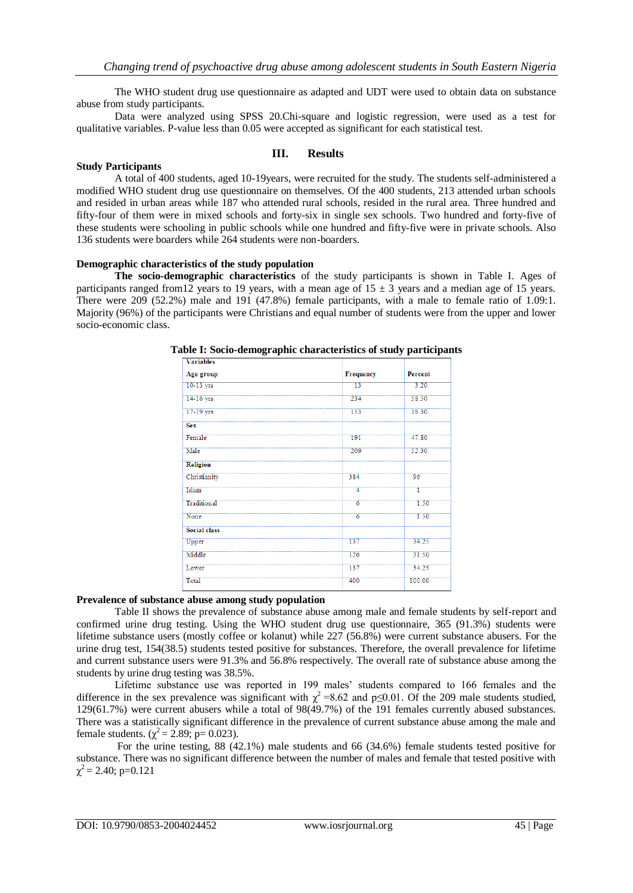The WHO student drug use questionnaire as adapted and UDT were used to obtain data on substance abuse from study participants.

Data were analyzed using SPSS 20.Chi-square and logistic regression, were used as a test for qualitative variables. P-value less than 0.05 were accepted as significant for each statistical test.

### **Study Participants**

# **III. Results**

A total of 400 students, aged 10-19years, were recruited for the study. The students self-administered a modified WHO student drug use questionnaire on themselves. Of the 400 students, 213 attended urban schools and resided in urban areas while 187 who attended rural schools, resided in the rural area. Three hundred and fifty-four of them were in mixed schools and forty-six in single sex schools. Two hundred and forty-five of these students were schooling in public schools while one hundred and fifty-five were in private schools. Also 136 students were boarders while 264 students were non-boarders.

# **Demographic characteristics of the study population**

**The socio-demographic characteristics** of the study participants is shown in Table I. Ages of participants ranged from 12 years to 19 years, with a mean age of  $15 \pm 3$  years and a median age of 15 years. There were 209 (52.2%) male and 191 (47.8%) female participants, with a male to female ratio of 1.09:1. Majority (96%) of the participants were Christians and equal number of students were from the upper and lower socio-economic class.

| <b>Variables</b>    |                 |         |
|---------------------|-----------------|---------|
| Age group           | Frequency       | Percent |
| $10-13$ yrs         | $\overline{13}$ | 3.20    |
| 14-16 yrs           | 234             | 58.50   |
| 17-19 yrs           | 153             | 38.30   |
| <b>Sex</b>          |                 |         |
| Female              | 191             | 47.80   |
| Male                | 209             | 52.30   |
| <b>Religion</b>     |                 |         |
| Christianity        | 384             | 96      |
| Islam               | 4               | Ŧ       |
| Traditional         | $\overline{6}$  | 1.50    |
| None                | $\overline{6}$  | 1.50    |
| <b>Social class</b> |                 |         |
| Upper               | 137             | 34.25   |
| Middle              | 126             | 31.50   |
| Lower               | 137             | 34.25   |
| Total               | 400             | 100.00  |

**Table I: Socio-demographic characteristics of study participants**

# **Prevalence of substance abuse among study population**

Table II shows the prevalence of substance abuse among male and female students by self-report and confirmed urine drug testing. Using the WHO student drug use questionnaire, 365 (91.3%) students were lifetime substance users (mostly coffee or kolanut) while 227 (56.8%) were current substance abusers. For the urine drug test, 154(38.5) students tested positive for substances. Therefore, the overall prevalence for lifetime and current substance users were 91.3% and 56.8% respectively. The overall rate of substance abuse among the students by urine drug testing was 38.5%.

Lifetime substance use was reported in 199 males' students compared to 166 females and the difference in the sex prevalence was significant with  $\chi^2$  =8.62 and p≤0.01. Of the 209 male students studied, 129(61.7%) were current abusers while a total of 98(49.7%) of the 191 females currently abused substances. There was a statistically significant difference in the prevalence of current substance abuse among the male and female students. ( $\chi^2$  = 2.89; p= 0.023).

For the urine testing, 88 (42.1%) male students and 66 (34.6%) female students tested positive for substance. There was no significant difference between the number of males and female that tested positive with  $\chi^2$  = 2.40; p=0.121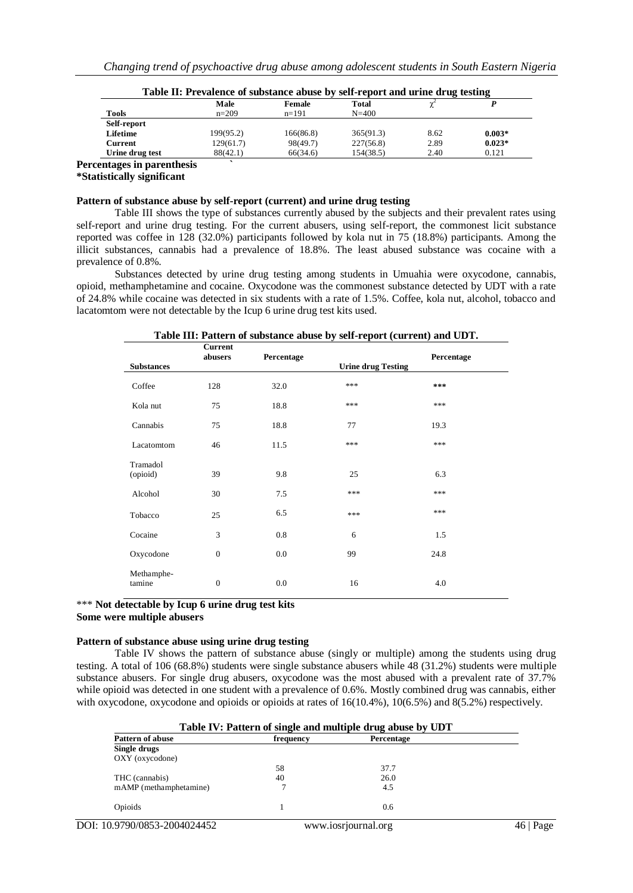|                 | Male      | Female    | Total     |      |          |
|-----------------|-----------|-----------|-----------|------|----------|
| <b>Tools</b>    | $n=209$   | $n=191$   | $N = 400$ |      |          |
| Self-report     |           |           |           |      |          |
| Lifetime        | 199(95.2) | 166(86.8) | 365(91.3) | 8.62 | $0.003*$ |
| Current         | 129(61.7) | 98(49.7)  | 227(56.8) | 2.89 | $0.023*$ |
| Urine drug test | 88(42.1)  | 66(34.6)  | 154(38.5) | 2.40 | 0.121    |

**Table II: Prevalence of substance abuse by self-report and urine drug testing**

# **Percentages in parenthesis `**

**\*Statistically significant**

### **Pattern of substance abuse by self-report (current) and urine drug testing**

Table III shows the type of substances currently abused by the subjects and their prevalent rates using self-report and urine drug testing. For the current abusers, using self-report, the commonest licit substance reported was coffee in 128 (32.0%) participants followed by kola nut in 75 (18.8%) participants. Among the illicit substances, cannabis had a prevalence of 18.8%. The least abused substance was cocaine with a prevalence of 0.8%.

Substances detected by urine drug testing among students in Umuahia were oxycodone, cannabis, opioid, methamphetamine and cocaine. Oxycodone was the commonest substance detected by UDT with a rate of 24.8% while cocaine was detected in six students with a rate of 1.5%. Coffee, kola nut, alcohol, tobacco and lacatomtom were not detectable by the Icup 6 urine drug test kits used.

| Table III: Pattern of substance abuse by self-report (current) and UDT. |  |  |  |  |
|-------------------------------------------------------------------------|--|--|--|--|
|-------------------------------------------------------------------------|--|--|--|--|

|                      | <b>Current</b><br>abusers | Percentage | - -                       | Percentage |
|----------------------|---------------------------|------------|---------------------------|------------|
| <b>Substances</b>    |                           |            | <b>Urine drug Testing</b> |            |
| Coffee               | 128                       | 32.0       | ***                       | ***        |
| Kola nut             | 75                        | 18.8       | ***                       | ***        |
| Cannabis             | 75                        | 18.8       | 77                        | 19.3       |
| Lacatomtom           | 46                        | 11.5       | ***                       | ***        |
| Tramadol<br>(opioid) | 39                        | 9.8        | 25                        | 6.3        |
| Alcohol              | 30                        | 7.5        | ***                       | ***        |
| Tobacco              | 25                        | 6.5        | ***                       | ***        |
| Cocaine              | 3                         | 0.8        | 6                         | 1.5        |
| Oxycodone            | $\boldsymbol{0}$          | 0.0        | 99                        | 24.8       |
| Methamphe-<br>tamine | $\boldsymbol{0}$          | 0.0        | 16                        | 4.0        |

\*\*\* **Not detectable by Icup 6 urine drug test kits**

**Some were multiple abusers**

# **Pattern of substance abuse using urine drug testing**

Table IV shows the pattern of substance abuse (singly or multiple) among the students using drug testing. A total of 106 (68.8%) students were single substance abusers while 48 (31.2%) students were multiple substance abusers. For single drug abusers, oxycodone was the most abused with a prevalent rate of 37.7% while opioid was detected in one student with a prevalence of 0.6%. Mostly combined drug was cannabis, either with oxycodone, oxycodone and opioids or opioids at rates of  $16(10.4\%)$ ,  $10(6.5\%)$  and  $8(5.2\%)$  respectively.

| Table IV: Pattern of single and multiple drug abuse by UDT |           |                     |      |  |  |  |
|------------------------------------------------------------|-----------|---------------------|------|--|--|--|
| <b>Pattern of abuse</b>                                    | frequency | Percentage          |      |  |  |  |
| Single drugs                                               |           |                     |      |  |  |  |
| OXY (oxycodone)                                            |           |                     |      |  |  |  |
|                                                            | 58        | 37.7                |      |  |  |  |
| THC (cannabis)                                             | 40        | 26.0                |      |  |  |  |
| mAMP (methamphetamine)                                     |           | 4.5                 |      |  |  |  |
| Opioids                                                    |           | 0.6                 |      |  |  |  |
| DOI: 10.9790/0853-2004024452                               |           | www.iosrjournal.org | Page |  |  |  |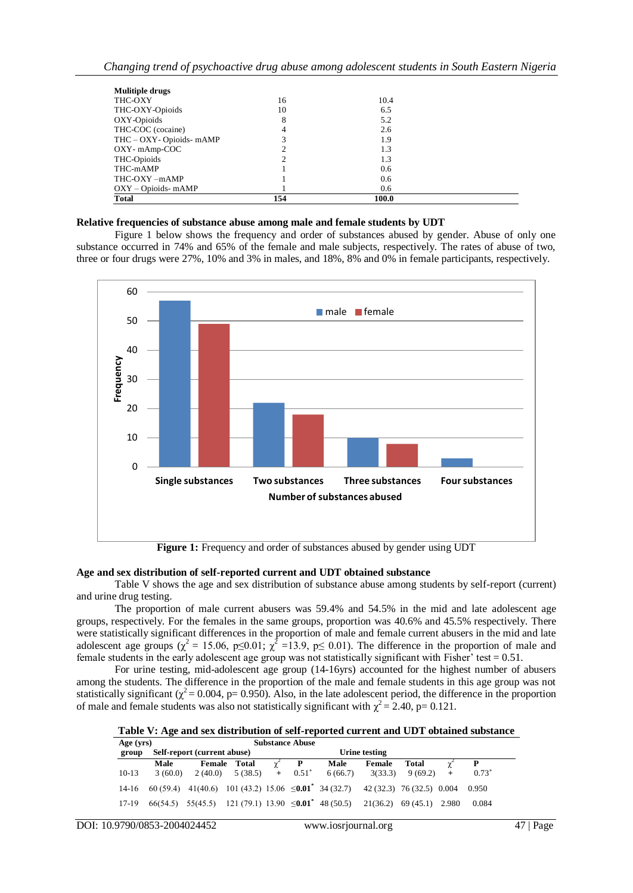| <b>Mulitiple drugs</b>    |     |       |  |
|---------------------------|-----|-------|--|
| THC-OXY                   | 16  | 10.4  |  |
| THC-OXY-Opioids           | 10  | 6.5   |  |
| OXY-Opioids               | 8   | 5.2   |  |
| THC-COC (cocaine)         | 4   | 2.6   |  |
| THC - OXY - Opioids- mAMP |     | 1.9   |  |
| OXY-mAmp-COC              |     | 1.3   |  |
| THC-Opioids               |     | 1.3   |  |
| THC-mAMP                  |     | 0.6   |  |
| THC-OXY-mAMP              |     | 0.6   |  |
| $OXY - Opioids - mAMP$    |     | 0.6   |  |
| <b>Total</b>              | 154 | 100.0 |  |

### **Relative frequencies of substance abuse among male and female students by UDT**

Figure 1 below shows the frequency and order of substances abused by gender. Abuse of only one substance occurred in 74% and 65% of the female and male subjects, respectively. The rates of abuse of two, three or four drugs were 27%, 10% and 3% in males, and 18%, 8% and 0% in female participants, respectively.



**Figure 1:** Frequency and order of substances abused by gender using UDT

#### **Age and sex distribution of self-reported current and UDT obtained substance**

Table V shows the age and sex distribution of substance abuse among students by self-report (current) and urine drug testing.

The proportion of male current abusers was 59.4% and 54.5% in the mid and late adolescent age groups, respectively. For the females in the same groups, proportion was 40.6% and 45.5% respectively. There were statistically significant differences in the proportion of male and female current abusers in the mid and late adolescent age groups ( $\chi^2 = 15.06$ , p $\leq 0.01$ ;  $\chi^2 = 13.9$ , p $\leq 0.01$ ). The difference in the proportion of male and female students in the early adolescent age group was not statistically significant with Fisher' test  $= 0.51$ .

For urine testing, mid-adolescent age group (14-16yrs) accounted for the highest number of abusers among the students. The difference in the proportion of the male and female students in this age group was not statistically significant ( $\chi^2$  = 0.004, p= 0.950). Also, in the late adolescent period, the difference in the proportion of male and female students was also not statistically significant with  $\chi^2 = 2.40$ , p= 0.121.

**Table V: Age and sex distribution of self-reported current and UDT obtained substance**

| Age $(yrs)$ |                       | <b>Substance Abuse</b>      |                     |     |            |                                                                                               |         |         |     |            |  |
|-------------|-----------------------|-----------------------------|---------------------|-----|------------|-----------------------------------------------------------------------------------------------|---------|---------|-----|------------|--|
| group       |                       | Self-report (current abuse) |                     |     |            | Urine testing                                                                                 |         |         |     |            |  |
|             | Male                  |                             | <b>Female Total</b> |     | P          | Male                                                                                          | Female  | Total   |     | P          |  |
| $10-13$     | 3(60.0)               |                             | $2(40.0)$ 5 (38.5)  | $+$ | $0.51^{+}$ | 6(66.7)                                                                                       | 3(33.3) | 9(69.2) | $+$ | $0.73^{+}$ |  |
| 14-16       |                       |                             |                     |     |            | 60 (59.4) $41(40.6)$ 101 (43.2) 15.06 $\leq 0.01^*$ 34 (32.7) 42 (32.3) 76 (32.5) 0.004 0.950 |         |         |     |            |  |
| 17-19       | $66(54.5)$ $55(45.5)$ |                             |                     |     |            | 121 (79.1) 13.90 $\leq 0.01^*$ 48 (50.5) 21(36.2) 69 (45.1) 2.980                             |         |         |     | 0.084      |  |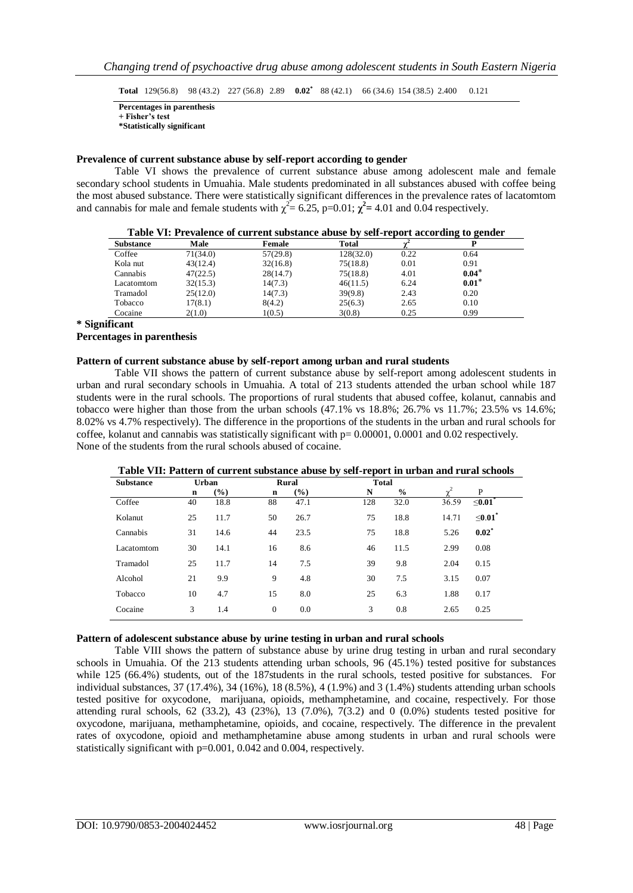**Total** 129(56.8) 98 (43.2) 227 (56.8) 2.89 **0.02\*** 88 (42.1) 66 (34.6) 154 (38.5) 2.400 0.121

**Percentages in parenthesis + Fisher's test**

**\*Statistically significant**

# **Prevalence of current substance abuse by self-report according to gender**

Table VI shows the prevalence of current substance abuse among adolescent male and female secondary school students in Umuahia. Male students predominated in all substances abused with coffee being the most abused substance. There were statistically significant differences in the prevalence rates of lacatomtom and cannabis for male and female students with  $\chi^2 = 6.25$ , p=0.01;  $\chi^2 = 4.01$  and 0.04 respectively.

|                  |          |          |           |      | $\sim$<br>$\sim$ |  |
|------------------|----------|----------|-----------|------|------------------|--|
| <b>Substance</b> | Male     | Female   | Total     |      |                  |  |
| Coffee           | 71(34.0) | 57(29.8) | 128(32.0) | 0.22 | 0.64             |  |
| Kola nut         | 43(12.4) | 32(16.8) | 75(18.8)  | 0.01 | 0.91             |  |
| Cannabis         | 47(22.5) | 28(14.7) | 75(18.8)  | 4.01 | $0.04*$          |  |
| Lacatomtom       | 32(15.3) | 14(7.3)  | 46(11.5)  | 6.24 | $0.01*$          |  |
| Tramadol         | 25(12.0) | 14(7.3)  | 39(9.8)   | 2.43 | 0.20             |  |
| Tobacco          | 17(8.1)  | 8(4.2)   | 25(6.3)   | 2.65 | 0.10             |  |
| Cocaine          | 2(1.0)   | 1(0.5)   | 3(0.8)    | 0.25 | 0.99             |  |

**Table VI: Prevalence of current substance abuse by self-report according to gender**

**\* Significant**

#### **Percentages in parenthesis**

### **Pattern of current substance abuse by self-report among urban and rural students**

Table VII shows the pattern of current substance abuse by self-report among adolescent students in urban and rural secondary schools in Umuahia. A total of 213 students attended the urban school while 187 students were in the rural schools. The proportions of rural students that abused coffee, kolanut, cannabis and tobacco were higher than those from the urban schools (47.1% vs 18.8%; 26.7% vs 11.7%; 23.5% vs 14.6%; 8.02% vs 4.7% respectively). The difference in the proportions of the students in the urban and rural schools for coffee, kolanut and cannabis was statistically significant with  $p= 0.00001$ , 0.0001 and 0.02 respectively. None of the students from the rural schools abused of cocaine.

#### **Table VII: Pattern of current substance abuse by self-report in urban and rural schools**

| <b>Substance</b> | Urban |        |              | <b>Rural</b> | <b>Total</b> |               |          |                  |
|------------------|-------|--------|--------------|--------------|--------------|---------------|----------|------------------|
|                  | n     | $(\%)$ | n            | (%)          | N            | $\frac{0}{0}$ | $\gamma$ | P                |
| Coffee           | 40    | 18.8   | 88           | 47.1         | 128          | 32.0          | 36.59    | $\leq$ 0.01 $^*$ |
| Kolanut          | 25    | 11.7   | 50           | 26.7         | 75           | 18.8          | 14.71    | $\leq 0.01$      |
| Cannabis         | 31    | 14.6   | 44           | 23.5         | 75           | 18.8          | 5.26     | $0.02^*$         |
| Lacatomtom       | 30    | 14.1   | 16           | 8.6          | 46           | 11.5          | 2.99     | 0.08             |
| Tramadol         | 25    | 11.7   | 14           | 7.5          | 39           | 9.8           | 2.04     | 0.15             |
| Alcohol          | 21    | 9.9    | 9            | 4.8          | 30           | 7.5           | 3.15     | 0.07             |
| Tobacco          | 10    | 4.7    | 15           | 8.0          | 25           | 6.3           | 1.88     | 0.17             |
| Cocaine          | 3     | 1.4    | $\mathbf{0}$ | 0.0          | 3            | 0.8           | 2.65     | 0.25             |

# **Pattern of adolescent substance abuse by urine testing in urban and rural schools**

Table VIII shows the pattern of substance abuse by urine drug testing in urban and rural secondary schools in Umuahia. Of the 213 students attending urban schools, 96 (45.1%) tested positive for substances while 125 (66.4%) students, out of the 187students in the rural schools, tested positive for substances. For individual substances, 37 (17.4%), 34 (16%), 18 (8.5%), 4 (1.9%) and 3 (1.4%) students attending urban schools tested positive for oxycodone, marijuana, opioids, methamphetamine, and cocaine, respectively. For those attending rural schools,  $62$  (33.2),  $43$  (23%),  $13$  (7.0%),  $7(3.2)$  and 0 (0.0%) students tested positive for oxycodone, marijuana, methamphetamine, opioids, and cocaine, respectively. The difference in the prevalent rates of oxycodone, opioid and methamphetamine abuse among students in urban and rural schools were statistically significant with p=0.001, 0.042 and 0.004, respectively.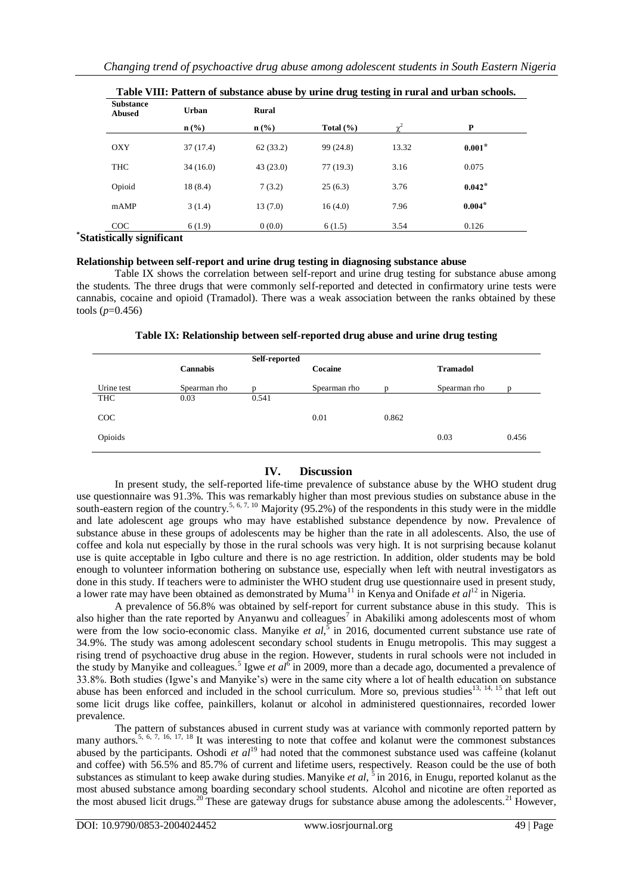| <b>Substance</b><br><b>Abused</b> | <b>Urban</b>                | Rural                       |               |                     |          |
|-----------------------------------|-----------------------------|-----------------------------|---------------|---------------------|----------|
|                                   | $n\left(\frac{0}{0}\right)$ | $n\left(\frac{0}{0}\right)$ | Total $(\% )$ | $\sim$ <sup>2</sup> | P        |
| OXY                               | 37(17.4)                    | 62(33.2)                    | 99 (24.8)     | 13.32               | $0.001*$ |
| THC                               | 34(16.0)                    | 43(23.0)                    | 77(19.3)      | 3.16                | 0.075    |
| Opioid                            | 18(8.4)                     | 7(3.2)                      | 25(6.3)       | 3.76                | $0.042*$ |
| mAMP                              | 3(1.4)                      | 13(7.0)                     | 16(4.0)       | 7.96                | $0.004*$ |
| COC                               | 6(1.9)                      | 0(0.0)                      | 6(1.5)        | 3.54                | 0.126    |
| *Statistically significant        |                             |                             |               |                     |          |

| Table VIII: Pattern of substance abuse by urine drug testing in rural and urban schools. |  |  |
|------------------------------------------------------------------------------------------|--|--|
|                                                                                          |  |  |

**Relationship between self-report and urine drug testing in diagnosing substance abuse**

Table IX shows the correlation between self-report and urine drug testing for substance abuse among the students. The three drugs that were commonly self-reported and detected in confirmatory urine tests were cannabis, cocaine and opioid (Tramadol). There was a weak association between the ranks obtained by these tools (*p*=0.456)

|  |  | Table IX: Relationship between self-reported drug abuse and urine drug testing |
|--|--|--------------------------------------------------------------------------------|
|  |  |                                                                                |

|            | <b>Cannabis</b> | Self-reported | Cocaine      |       | <b>Tramadol</b> |       |
|------------|-----------------|---------------|--------------|-------|-----------------|-------|
| Urine test | Spearman rho    |               | Spearman rho |       | Spearman rho    |       |
| THC        | 0.03            | 0.541         |              |       |                 |       |
| COC        |                 |               | 0.01         | 0.862 |                 |       |
| Opioids    |                 |               |              |       | 0.03            | 0.456 |
|            |                 |               |              |       |                 |       |

# **IV. Discussion**

In present study, the self-reported life-time prevalence of substance abuse by the WHO student drug use questionnaire was 91.3%. This was remarkably higher than most previous studies on substance abuse in the south-eastern region of the country.<sup>5, 6, 7, 10</sup> Majority (95.2%) of the respondents in this study were in the middle and late adolescent age groups who may have established substance dependence by now. Prevalence of substance abuse in these groups of adolescents may be higher than the rate in all adolescents. Also, the use of coffee and kola nut especially by those in the rural schools was very high. It is not surprising because kolanut use is quite acceptable in Igbo culture and there is no age restriction. In addition, older students may be bold enough to volunteer information bothering on substance use, especially when left with neutral investigators as done in this study. If teachers were to administer the WHO student drug use questionnaire used in present study, a lower rate may have been obtained as demonstrated by Muma<sup>11</sup> in Kenya and Onifade *et al*<sup>12</sup> in Nigeria.

A prevalence of 56.8% was obtained by self-report for current substance abuse in this study. This is also higher than the rate reported by Anyanwu and colleagues<sup>7</sup> in Abakiliki among adolescents most of whom were from the low socio-economic class. Manyike *et al*,<sup>5</sup> in 2016, documented current substance use rate of 34.9%. The study was among adolescent secondary school students in Enugu metropolis. This may suggest a rising trend of psychoactive drug abuse in the region. However, students in rural schools were not included in the study by Manyike and colleagues.<sup>5</sup> Igwe *et al*<sup>6</sup> in 2009, more than a decade ago, documented a prevalence of 33.8%. Both studies (Igwe's and Manyike's) were in the same city where a lot of health education on substance abuse has been enforced and included in the school curriculum. More so, previous studies<sup>13, 14, 15</sup> that left out some licit drugs like coffee, painkillers, kolanut or alcohol in administered questionnaires, recorded lower prevalence.

The pattern of substances abused in current study was at variance with commonly reported pattern by many authors.<sup>5, 6, 7, 16, 17, 18</sup> It was interesting to note that coffee and kolanut were the commonest substances abused by the participants. Oshodi *et al*<sup>19</sup> had noted that the commonest substance used was caffeine (kolanut and coffee) with 56.5% and 85.7% of current and lifetime users, respectively. Reason could be the use of both substances as stimulant to keep awake during studies. Manyike *et al*, <sup>5</sup> in 2016, in Enugu, reported kolanut as the most abused substance among boarding secondary school students. Alcohol and nicotine are often reported as the most abused licit drugs.<sup>20</sup>These are gateway drugs for substance abuse among the adolescents.<sup>21</sup> However,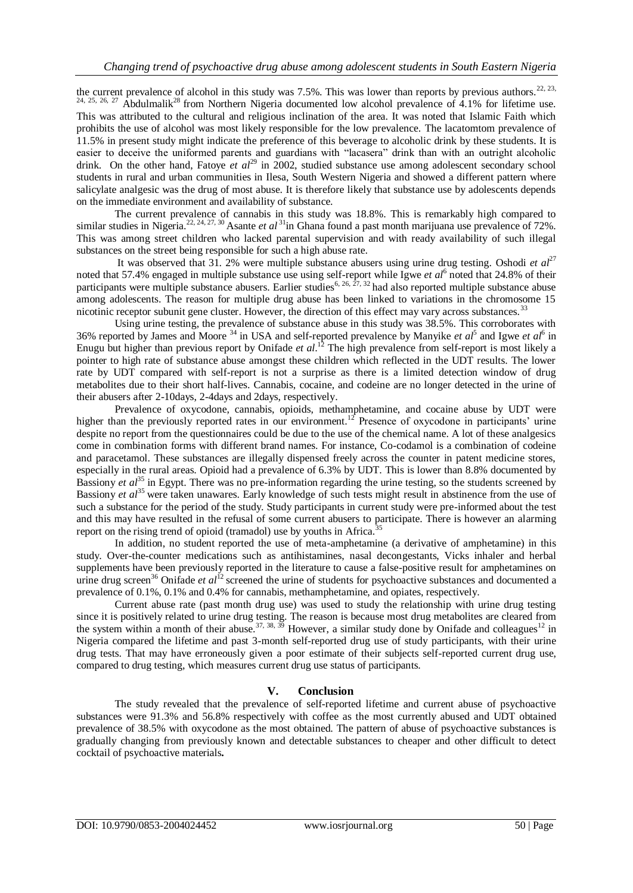the current prevalence of alcohol in this study was 7.5%. This was lower than reports by previous authors.<sup>22, 23,</sup>  $24, 25, 26, 27$  Abdulmalik<sup>28</sup> from Northern Nigeria documented low alcohol prevalence of 4.1% for lifetime use. This was attributed to the cultural and religious inclination of the area. It was noted that Islamic Faith which prohibits the use of alcohol was most likely responsible for the low prevalence. The lacatomtom prevalence of 11.5% in present study might indicate the preference of this beverage to alcoholic drink by these students. It is easier to deceive the uniformed parents and guardians with "lacasera" drink than with an outright alcoholic drink. On the other hand, Fatoye *et al*<sup>29</sup> in 2002, studied substance use among adolescent secondary school students in rural and urban communities in Ilesa, South Western Nigeria and showed a different pattern where salicylate analgesic was the drug of most abuse. It is therefore likely that substance use by adolescents depends on the immediate environment and availability of substance.

The current prevalence of cannabis in this study was 18.8%. This is remarkably high compared to similar studies in Nigeria.<sup>22, 24, 27, 30</sup> Asante *et al* <sup>31</sup>in Ghana found a past month marijuana use prevalence of 72%. This was among street children who lacked parental supervision and with ready availability of such illegal substances on the street being responsible for such a high abuse rate.

It was observed that 31. 2% were multiple substance abusers using urine drug testing. Oshodi *et al*<sup>27</sup> noted that 57.4% engaged in multiple substance use using self-report while Igwe *et al*<sup>6</sup> noted that 24.8% of their participants were multiple substance abusers. Earlier studies<sup>6, 26, 27, 32</sup> had also reported multiple substance abuse among adolescents. The reason for multiple drug abuse has been linked to variations in the chromosome 15 nicotinic receptor subunit gene cluster. However, the direction of this effect may vary across substances.<sup>33</sup>

Using urine testing, the prevalence of substance abuse in this study was 38.5%. This corroborates with 36% reported by James and Moore<sup>34</sup> in USA and self-reported prevalence by Manyike *et al*<sup>5</sup> and Igwe *et al*<sup>6</sup> in Enugu but higher than previous report by Onifade *et al*. <sup>12</sup> The high prevalence from self-report is most likely a pointer to high rate of substance abuse amongst these children which reflected in the UDT results. The lower rate by UDT compared with self-report is not a surprise as there is a limited detection window of drug metabolites due to their short half-lives. Cannabis, cocaine, and codeine are no longer detected in the urine of their abusers after 2-10days, 2-4days and 2days, respectively.

Prevalence of oxycodone, cannabis, opioids, methamphetamine, and cocaine abuse by UDT were higher than the previously reported rates in our environment.<sup>12</sup> Presence of oxycodone in participants' urine despite no report from the questionnaires could be due to the use of the chemical name. A lot of these analgesics come in combination forms with different brand names. For instance, Co-codamol is a combination of codeine and paracetamol. These substances are illegally dispensed freely across the counter in patent medicine stores, especially in the rural areas. Opioid had a prevalence of 6.3% by UDT. This is lower than 8.8% documented by Bassiony *et al*<sup>35</sup> in Egypt. There was no pre-information regarding the urine testing, so the students screened by Bassiony *et al*<sup>35</sup> were taken unawares. Early knowledge of such tests might result in abstinence from the use of such a substance for the period of the study. Study participants in current study were pre-informed about the test and this may have resulted in the refusal of some current abusers to participate. There is however an alarming report on the rising trend of opioid (tramadol) use by youths in Africa.<sup>3</sup>

In addition, no student reported the use of meta-amphetamine (a derivative of amphetamine) in this study. Over-the-counter medications such as antihistamines, nasal decongestants, Vicks inhaler and herbal supplements have been previously reported in the literature to cause a false-positive result for amphetamines on urine drug screen<sup>36</sup> Onifade *et al*<sup>12</sup> screened the urine of students for psychoactive substances and documented a prevalence of 0.1%, 0.1% and 0.4% for cannabis, methamphetamine, and opiates, respectively.

Current abuse rate (past month drug use) was used to study the relationship with urine drug testing since it is positively related to urine drug testing. The reason is because most drug metabolites are cleared from the system within a month of their abuse.<sup>37, 38, 39</sup> However, a similar study done by Onifade and colleagues<sup>12</sup> in Nigeria compared the lifetime and past 3-month self-reported drug use of study participants, with their urine drug tests. That may have erroneously given a poor estimate of their subjects self-reported current drug use, compared to drug testing, which measures current drug use status of participants.

# **V. Conclusion**

The study revealed that the prevalence of self-reported lifetime and current abuse of psychoactive substances were 91.3% and 56.8% respectively with coffee as the most currently abused and UDT obtained prevalence of 38.5% with oxycodone as the most obtained. The pattern of abuse of psychoactive substances is gradually changing from previously known and detectable substances to cheaper and other difficult to detect cocktail of psychoactive materials**.**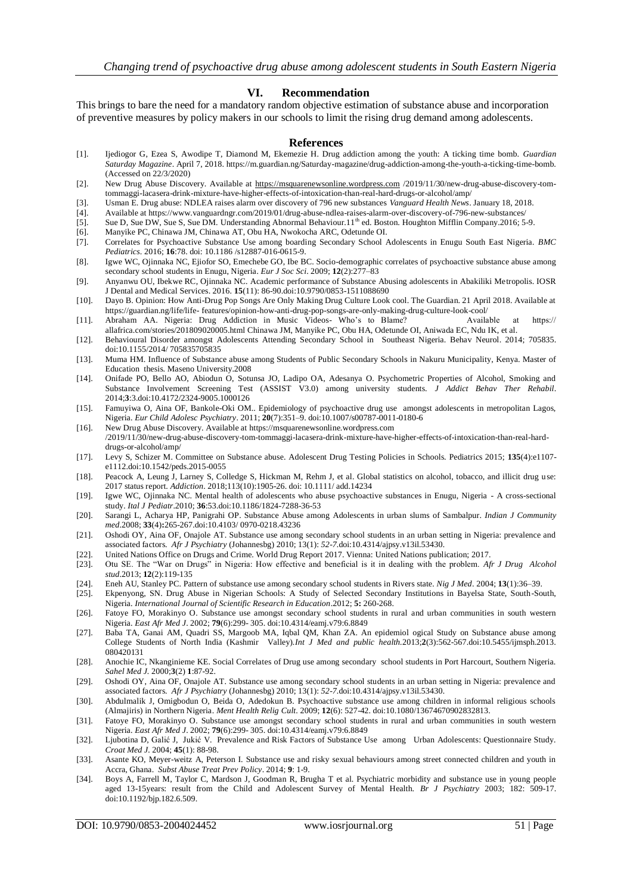# **VI. Recommendation**

This brings to bare the need for a mandatory random objective estimation of substance abuse and incorporation of preventive measures by policy makers in our schools to limit the rising drug demand among adolescents.

#### **References**

- [1]. Ijediogor G, Ezea S, Awodipe T, Diamond M, Ekemezie H. Drug addiction among the youth: A ticking time bomb. *Guardian Saturday Magazine*. April 7, 2018. https://m.guardian.ng/Saturday-magazine/drug-addiction-among-the-youth-a-ticking-time-bomb. (Accessed on 22/3/2020)
- [2]. New Drug Abuse Discovery. Available at [https://msquarenewsonline.wordpress.com](https://msquarenewsonline.wordpress.com/) /2019/11/30/new-drug-abuse-discovery-tomtommaggi-lacasera-drink-mixture-have-higher-effects-of-intoxication-than-real-hard-drugs-or-alcohol/amp/
- [3]. Usman E. Drug abuse: NDLEA raises alarm over discovery of 796 new substances *Vanguard Health News*. January 18, 2018.
- [4]. Available at https://www.vanguardngr.com/2019/01/drug-abuse-ndlea-raises-alarm-over-discovery-of-796-new-substances/
- [5]. Sue D, Sue DW, Sue S, Sue DM. Understanding Abnormal Behaviour.11<sup>th</sup> ed. Boston. Houghton Mifflin Company.2016; 5-9.
- [6]. Manyike PC, Chinawa JM, Chinawa AT, Obu HA, Nwokocha ARC, Odetunde OI.
- [7]. Correlates for Psychoactive Substance Use among boarding Secondary School Adolescents in Enugu South East Nigeria*. BMC Pediatrics*. 2016; **16**:78. doi: 10.1186 /s12887-016-0615-9.
- [8]. Igwe WC, Ojinnaka NC, Ejiofor SO, Emechebe GO, Ibe BC. Socio-demographic correlates of psychoactive substance abuse among secondary school students in Enugu, Nigeria*. Eur J Soc Sci*. 2009; **12**(2):277–83
- [9]. Anyanwu OU, Ibekwe RC, Ojinnaka NC. Academic performance of Substance Abusing adolescents in Abakiliki Metropolis. IOSR J Dental and Medical Services. 2016. **15**(11): 86-90.doi:10.9790/0853-1511088690
- [10]. Dayo B. Opinion: How Anti-Drug Pop Songs Are Only Making Drug Culture Look cool. The Guardian. 21 April 2018. Available at https://guardian.ng/life/life- [features/opinion-how-anti-drug-pop-songs-are-only-making-drug-culture-look-cool/](https://guardian.ng/life/life-%20features/opinion-how-anti-drug-pop-songs-are-only-making-drug-culture-look-cool/)
- [11]. Abraham AA. Nigeria: Drug Addiction in Music Videos- Who's to Blame? Available at https:// allafrica.com/stories/201809020005.html Chinawa JM, Manyike PC, Obu HA, Odetunde OI, Aniwada EC, Ndu IK, et al.
- [12]. Behavioural Disorder amongst Adolescents Attending Secondary School in Southeast Nigeria. Behav Neurol. 2014; 705835. doi:10.1155/2014/ 705835705835
- [13]. Muma HM. Influence of Substance abuse among Students of Public Secondary Schools in Nakuru Municipality, Kenya. Master of Education thesis. Maseno University.2008
- [14]. Onifade PO, Bello AO, Abiodun O, Sotunsa JO, Ladipo OA, Adesanya O. Psychometric Properties of Alcohol, Smoking and Substance Involvement Screening Test (ASSIST V3.0) among university students. *J Addict Behav Ther Rehabil*. 2014;**3**:3.doi:10.4172/2324-9005.1000126
- [15]. Famuyiwa O, Aina OF, Bankole-Oki OM.. Epidemiology of psychoactive drug use amongst adolescents in metropolitan Lagos, Nigeria. *Eur Child Adolesc Psychiatry*. 2011; **20**(7):351–9. doi:10.1007/s00787-0011-0180-6
- [16]. New Drug Abuse Discovery. Available at https://msquarenewsonline.wordpress.com /2019/11/30/new-drug-abuse-discovery-tom-tommaggi-lacasera-drink-mixture-have-higher-effects-of-intoxication-than-real-harddrugs-or-alcohol/amp/
- [17]. Levy S, Schizer M. Committee on Substance abuse. Adolescent Drug Testing Policies in Schools. Pediatrics 2015; **135**(4):e1107 e1112.doi:10.1542/peds.2015-0055
- [18]. Peacock A, Leung J, Larney S, Colledge S, Hickman M, Rehm J, et al. Global statistics on alcohol, tobacco, and illicit drug use: 2017 status report. *Addiction*. 2018;113(10):1905-26. doi: 10.1111/ add.14234
- [19]. Igwe WC, Ojinnaka NC. Mental health of adolescents who abuse psychoactive substances in Enugu, Nigeria A cross-sectional study*. Ital J Pediatr*.2010; **36**:53.doi:10.1186/1824-7288-36-53
- [20]. Sarangi L, Acharya HP, Panigrahi OP. Substance Abuse among Adolescents in urban slums of Sambalpur. *Indian J Community med*.2008; **33**(4)**:**265-267.doi:10.4103/ 0970-0218.43236
- [21]. Oshodi OY, Aina OF, Onajole AT. Substance use among secondary school students in an urban setting in Nigeria: prevalence and associated factors. *Afr J Psychiatry* (Johannesbg) 2010; 13(1): *52-7.*doi:10.4314/ajpsy.v13il.53430*.*
- [22]. United Nations Office on Drugs and Crime. World Drug Report 2017. Vienna: United Nations publication; 2017.
- [23]. Otu SE. The "War on Drugs" in Nigeria: How effective and beneficial is it in dealing with the problem. *Afr J Drug Alcohol stud*.2013; **12**(2):119-135
- [24]. Eneh AU, Stanley PC. Pattern of substance use among secondary school students in Rivers state*. Nig J Med*. 2004; **13**(1):36–39.
- [25]. Ekpenyong, SN. Drug Abuse in Nigerian Schools: A Study of Selected Secondary Institutions in Bayelsa State, South-South, Nigeria. *International Journal of Scientific Research in Education*.2012; **5:** 260-268.
- [26]. Fatoye FO, Morakinyo O. Substance use amongst secondary school students in rural and urban communities in south western Nigeria. *East Afr Med J*. 2002; **79**(6):299- 305. doi:10.4314/eamj.v79:6.8849
- [27]. Baba TA, Ganai AM, Quadri SS, Margoob MA, Iqbal QM, Khan ZA. An epidemiol ogical Study on Substance abuse among College Students of North India (Kashmir Valley)*.Int J Med and public health.*2013;**2**(3):562-567.doi:10.5455/ijmsph.2013. 080420131
- [28]. Anochie IC, Nkanginieme KE. Social Correlates of Drug use among secondary school students in Port Harcourt, Southern Nigeria. *Sahel Med J.* 2000;**3**(2) **1**:87-92.
- [29]. Oshodi OY, Aina OF, Onajole AT. Substance use among secondary school students in an urban setting in Nigeria: prevalence and associated factors. *Afr J Psychiatry* (Johannesbg) 2010; 13(1): *52-7.*doi:10.4314/ajpsy.v13il.53430*.*
- [30]. Abdulmalik J, Omigbodun O, Beida O, Adedokun B. Psychoactive substance use among children in informal religious schools (Almajiris) in Northern Nigeria. *Ment Health Relig Cult*. 2009; **12**(6): 527-42. doi:10.1080/13674670902832813.
- [31]. Fatoye FO, Morakinyo O. Substance use amongst secondary school students in rural and urban communities in south western Nigeria. *East Afr Med J*. 2002; **79**(6):299- 305. doi:10.4314/eamj.v79:6.8849
- [32]. Ljubotina D[, Galić](https://www.researchgate.net/scientific-contributions/11191079_Jadranko_Galic?_sg%5B0%5D=Y5aIZ0PWMkm3OWKc4AKYoMYxJJ7RTLuRJRGiG3sTV6gqVP-Ab9dJIKQpULWrS-QYREgCWTU.A3ZWOgQW7RkXYpIJPivInzgzzCNwRgLiiUMYettukxQUtrKFekiiccM22hEIFKn_RqjYw-r9jvZjr_5BzPoRTQ&_sg%5B1%5D=G6qp8bbMSjxt8-arBzLS8vlT8MWM3r9TpUO6g4ax1hAMgD72-myttcgOdHnSdEcdvR8ZwNg.nA6L-wBQsu6Sd9Q6VIDmim5L7-5JleNqP5MqWSlN8jxnantpukf47OI2mpUj-Mcqy7uKPiN-9ogxm6nqV3Dylg) J, [Jukić](https://www.researchgate.net/profile/Vlado_Jukic?_sg%5B0%5D=Y5aIZ0PWMkm3OWKc4AKYoMYxJJ7RTLuRJRGiG3sTV6gqVP-Ab9dJIKQpULWrS-QYREgCWTU.A3ZWOgQW7RkXYpIJPivInzgzzCNwRgLiiUMYettukxQUtrKFekiiccM22hEIFKn_RqjYw-r9jvZjr_5BzPoRTQ&_sg%5B1%5D=G6qp8bbMSjxt8-arBzLS8vlT8MWM3r9TpUO6g4ax1hAMgD72-myttcgOdHnSdEcdvR8ZwNg.nA6L-wBQsu6Sd9Q6VIDmim5L7-5JleNqP5MqWSlN8jxnantpukf47OI2mpUj-Mcqy7uKPiN-9ogxm6nqV3Dylg) V. Prevalence and Risk Factors of Substance Use among Urban Adolescents: Questionnaire Study*. Croat Med J.* 2004; **45**(1): 88-98.
- [33]. Asante KO, Meyer-weitz A, Peterson I. Substance use and risky sexual behaviours among street connected children and youth in Accra, Ghana. *Subst Abuse Treat Prev Policy*. 2014; **9**: 1-9.
- [34]. Boys A, Farrell M, Taylor C, Mardson J, Goodman R, Brugha T et al. Psychiatric morbidity and substance use in young people aged 13-15years: result from the Child and Adolescent Survey of Mental Health. *Br J Psychiatry* 2003; 182: 509-17. doi:10.1192/bjp.182.6.509.